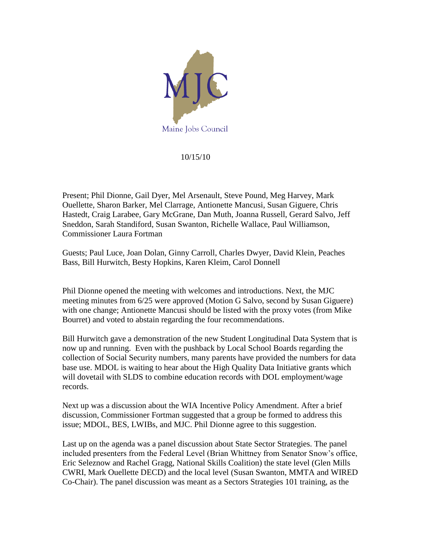

## 10/15/10

Present; Phil Dionne, Gail Dyer, Mel Arsenault, Steve Pound, Meg Harvey, Mark Ouellette, Sharon Barker, Mel Clarrage, Antionette Mancusi, Susan Giguere, Chris Hastedt, Craig Larabee, Gary McGrane, Dan Muth, Joanna Russell, Gerard Salvo, Jeff Sneddon, Sarah Standiford, Susan Swanton, Richelle Wallace, Paul Williamson, Commissioner Laura Fortman

Guests; Paul Luce, Joan Dolan, Ginny Carroll, Charles Dwyer, David Klein, Peaches Bass, Bill Hurwitch, Besty Hopkins, Karen Kleim, Carol Donnell

Phil Dionne opened the meeting with welcomes and introductions. Next, the MJC meeting minutes from 6/25 were approved (Motion G Salvo, second by Susan Giguere) with one change; Antionette Mancusi should be listed with the proxy votes (from Mike Bourret) and voted to abstain regarding the four recommendations.

Bill Hurwitch gave a demonstration of the new Student Longitudinal Data System that is now up and running. Even with the pushback by Local School Boards regarding the collection of Social Security numbers, many parents have provided the numbers for data base use. MDOL is waiting to hear about the High Quality Data Initiative grants which will dovetail with SLDS to combine education records with DOL employment/wage records.

Next up was a discussion about the WIA Incentive Policy Amendment. After a brief discussion, Commissioner Fortman suggested that a group be formed to address this issue; MDOL, BES, LWIBs, and MJC. Phil Dionne agree to this suggestion.

Last up on the agenda was a panel discussion about State Sector Strategies. The panel included presenters from the Federal Level (Brian Whittney from Senator Snow's office, Eric Seleznow and Rachel Gragg, National Skills Coalition) the state level (Glen Mills CWRI, Mark Ouellette DECD) and the local level (Susan Swanton, MMTA and WIRED Co-Chair). The panel discussion was meant as a Sectors Strategies 101 training, as the